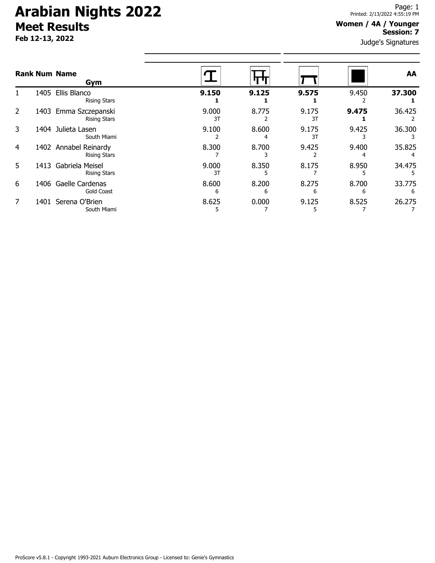# **Arabian Nights 2022 Meet Results**

**Feb 12-13, 2022**

### **Women / 4A / Younger Session: 7**

Judge's Signatures

|   |      | <b>Rank Num Name</b><br>Gym                  |             |            |             |            | AA          |
|---|------|----------------------------------------------|-------------|------------|-------------|------------|-------------|
|   | 1405 | Ellis Blanco<br><b>Rising Stars</b>          | 9.150       | 9.125      | 9.575       | 9.450      | 37.300      |
| 2 |      | 1403 Emma Szczepanski<br><b>Rising Stars</b> | 9.000<br>3T | 8.775      | 9.175<br>3T | 9.475      | 36.425      |
| 3 | 1404 | Julieta Lasen<br>South Miami                 | 9.100       | 8.600      | 9.175<br>3T | 9.425      | 36.300      |
| 4 |      | 1402 Annabel Reinardy<br><b>Rising Stars</b> | 8.300       | 8.700      | 9.425       | 9.400      | 35.825      |
| 5 | 1413 | Gabriela Meisel<br><b>Rising Stars</b>       | 9.000<br>3T | 8.350      | 8.175       | 8.950      | 34.475      |
| 6 |      | 1406 Gaelle Cardenas<br><b>Gold Coast</b>    | 8.600<br>6  | 8.200<br>6 | 8.275<br>6  | 8.700<br>6 | 33.775<br>6 |
| 7 |      | 1401 Serena O'Brien<br>South Miami           | 8.625<br>כ  | 0.000      | 9.125       | 8.525      | 26.275      |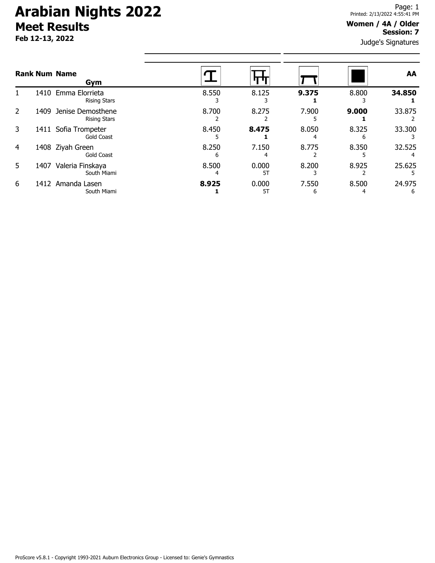# **Arabian Nights 2022 Meet Results**

**Feb 12-13, 2022**

#### **Women / 4A / Older Session: 7**

Judge's Signatures

| <b>Rank Num Name</b><br>Gym |                                                  |            |             |            |       | AA     |  |
|-----------------------------|--------------------------------------------------|------------|-------------|------------|-------|--------|--|
|                             | 1410 Emma Elorrieta<br><b>Rising Stars</b>       | 8.550      | 8.125       | 9.375      | 8.800 | 34.850 |  |
| 2                           | 1409<br>Jenise Demosthene<br><b>Rising Stars</b> | 8.700      | 8.275       | 7.900      | 9.000 | 33.875 |  |
| 3                           | Sofia Trompeter<br>1411<br><b>Gold Coast</b>     | 8.450      | 8.475       | 8.050      | 8.325 | 33.300 |  |
| 4                           | 1408 Ziyah Green<br><b>Gold Coast</b>            | 8.250<br>h | 7.150       | 8.775      | 8.350 | 32.525 |  |
| 5.                          | Valeria Finskaya<br>1407<br>South Miami          | 8.500      | 0.000<br>5T | 8.200      | 8.925 | 25.625 |  |
| 6                           | 1412<br>Amanda Lasen<br>South Miami              | 8.925      | 0.000<br>5T | 7.550<br>b | 8.500 | 24.975 |  |